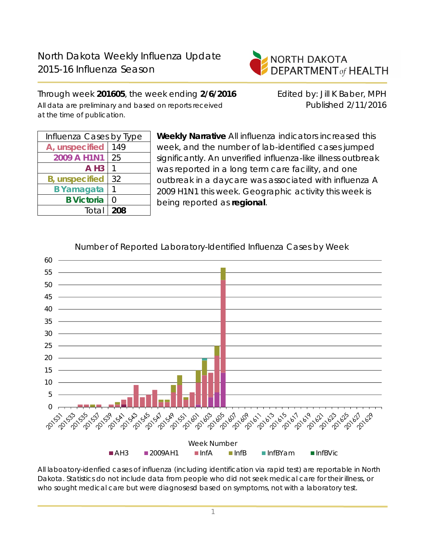

Through week **201605**, the week ending **2/6/2016** Edited by: Jill K Baber, MPH All data are preliminary and based on reports received **Published 2/11/2016** at the time of publication.

| Influenza Cases by Type |     |  |  |  |
|-------------------------|-----|--|--|--|
| A, unspecified          | 149 |  |  |  |
| 2009 A H1N1             | 25  |  |  |  |
| $A$ H <sub>3</sub>      |     |  |  |  |
| <b>B</b> , unspecified  | 32  |  |  |  |
| <b>B</b> Yamagata       |     |  |  |  |
| <b>B</b> Victoria       | Ω   |  |  |  |
| Total                   | 208 |  |  |  |

**Weekly Narrative** All influenza indicators increased this week, and the number of lab-identified cases jumped significantly. An unverified influenza-like illness outbreak was reported in a long term care facility, and one outbreak in a daycare was associated with influenza A 2009 H1N1 this week. Geographic activity this week is being reported as **regional**.



Number of Reported Laboratory-Identified Influenza Cases by Week

All laboatory-idenfied cases of influenza (including identification via rapid test) are reportable in North Dakota. Statistics do not include data from people who did not seek medical care for their illness, or who sought medical care but were diagnosesd based on symptoms, not with a laboratory test.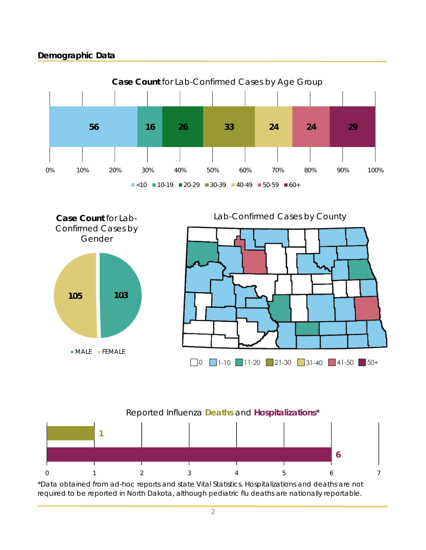## **Demographic Data**









\*Data obtained from ad-hoc reports and state Vital Statistics. Hospitalizations and deaths are not required to be reported in North Dakota, although pediatric flu deaths are nationally reportable.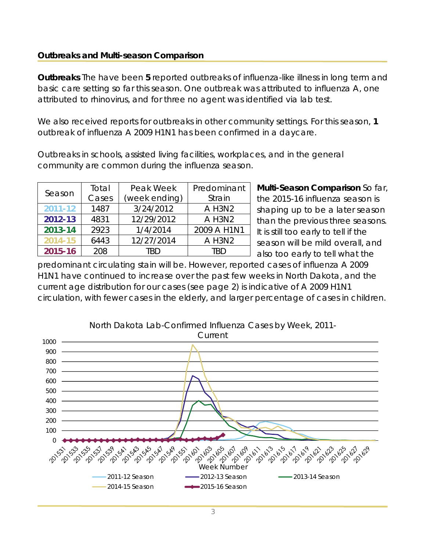### **Outbreaks and Multi-season Comparison**

**Outbreaks** The have been **5** reported outbreaks of influenza-like illness in long term and basic care setting so far this season. One outbreak was attributed to influenza A, one attributed to rhinovirus, and for three no agent was identified via lab test.

We also received reports for outbreaks in other community settings. For this season, **1** outbreak of influenza A 2009 H1N1 has been confirmed in a daycare.

Outbreaks in schools, assisted living facilities, workplaces, and in the general community are common during the influenza season.

| Season  | Total                  | Peak Week  | Predominant |  |
|---------|------------------------|------------|-------------|--|
|         | Cases<br>(week ending) |            | Strain      |  |
| 2011-12 | 1487                   | 3/24/2012  | A H3N2      |  |
| 2012-13 | 4831                   | 12/29/2012 | A H3N2      |  |
| 2013-14 | 2923                   | 1/4/2014   | 2009 A H1N1 |  |
| 2014-15 | 6443                   | 12/27/2014 | A H3N2      |  |
| 2015-16 | 208                    | TRD        | TRD         |  |

**Multi-Season Comparison** So far, the 2015-16 influenza season is shaping up to be a later season than the previous three seasons. It is still too early to tell if the season will be mild overall, and also too early to tell what the

predominant circulating stain will be. However, reported cases of influenza A 2009 H1N1 have continued to increase over the past few weeks in North Dakota, and the current age distribution for our cases (see page 2) is indicative of A 2009 H1N1 circulation, with fewer cases in the elderly, and larger percentage of cases in children.

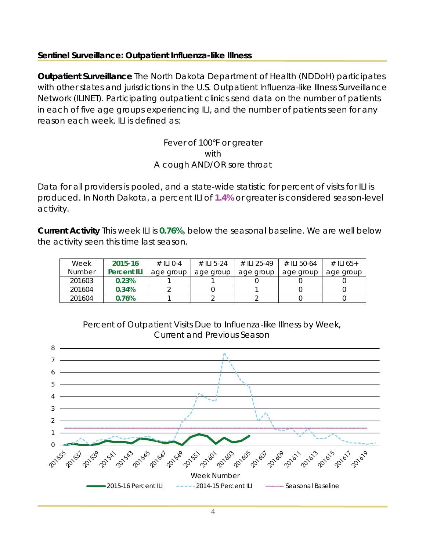### **Sentinel Surveillance: Outpatient Influenza-like Illness**

**Outpatient Surveillance** The North Dakota Department of Health (NDDoH) participates with other states and jurisdictions in the U.S. Outpatient Influenza-like Illness Surveillance Network (ILINET). Participating outpatient clinics send data on the number of patients in each of five age groups experiencing ILI, and the number of patients seen for any reason each week. ILI is defined as:

> Fever of 100°F or greater with A cough AND/OR sore throat

Data for all providers is pooled, and a state-wide statistic for percent of visits for ILI is produced. In North Dakota, a percent ILI of **1.4%** or greater is considered season-level activity.

**Current Activity** This week ILI is **0.76%**, below the seasonal baseline. We are well below the activity seen this time last season.

| Week          | 2015-16            | $\#$ II I O-4 | # II 5-24 | # II 1 25-49 | # II 50-64 | # ILI 65+ |
|---------------|--------------------|---------------|-----------|--------------|------------|-----------|
| <b>Number</b> | <b>Percent ILI</b> | age group     | age group | age group    | age group  | age group |
| 201603        | 0.23%              |               |           |              |            |           |
| 201604        | 0.34%              |               |           |              |            |           |
| 201604        | 0.76%              |               |           |              |            |           |



Percent of Outpatient Visits Due to Influenza-like Illness by Week, Current and Previous Season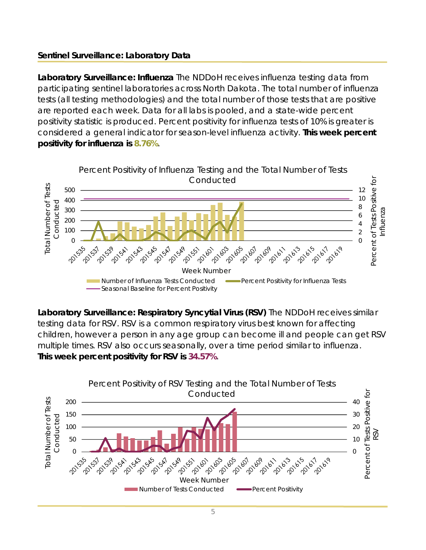# **Sentinel Surveillance: Laboratory Data**

**Laboratory Surveillance: Influenza** The NDDoH receives influenza testing data from participating sentinel laboratories across North Dakota. The total number of influenza tests (all testing methodologies) and the total number of those tests that are positive are reported each week. Data for all labs is pooled, and a state-wide percent positivity statistic is produced. Percent positivity for influenza tests of 10% is greater is considered a general indicator for season-level influenza activity. **This week percent positivity for influenza is 8.76%**.



**Laboratory Surveillance: Respiratory Syncytial Virus (RSV)** The NDDoH receives similar testing data for RSV. RSV is a common respiratory virus best known for affecting children, however a person in any age group can become ill and people can get RSV multiple times. RSV also occurs seasonally, over a time period similar to influenza. **This week percent positivity for RSV is 34.57%**.

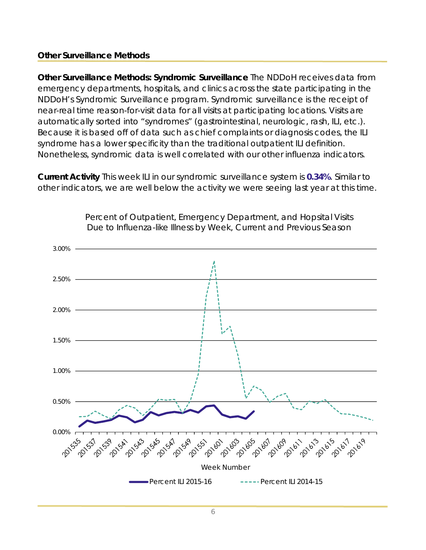### **Other Surveillance Methods**

**Other Surveillance Methods: Syndromic Surveillance** The NDDoH receives data from emergency departments, hospitals, and clinics across the state participating in the NDDoH's Syndromic Surveillance program. Syndromic surveillance is the receipt of near-real time reason-for-visit data for all visits at participating locations. Visits are automatically sorted into "syndromes" (gastrointestinal, neurologic, rash, ILI, etc.). Because it is based off of data such as chief complaints or diagnosis codes, the ILI syndrome has a lower specificity than the traditional outpatient ILI definition. Nonetheless, syndromic data is well correlated with our other influenza indicators.

**Current Activity** This week ILI in our syndromic surveillance system is **0.34%**. Similar to other indicators, we are well below the activity we were seeing last year at this time.



Percent of Outpatient, Emergency Department, and Hopsital Visits Due to Influenza-like Illness by Week, Current and Previous Season